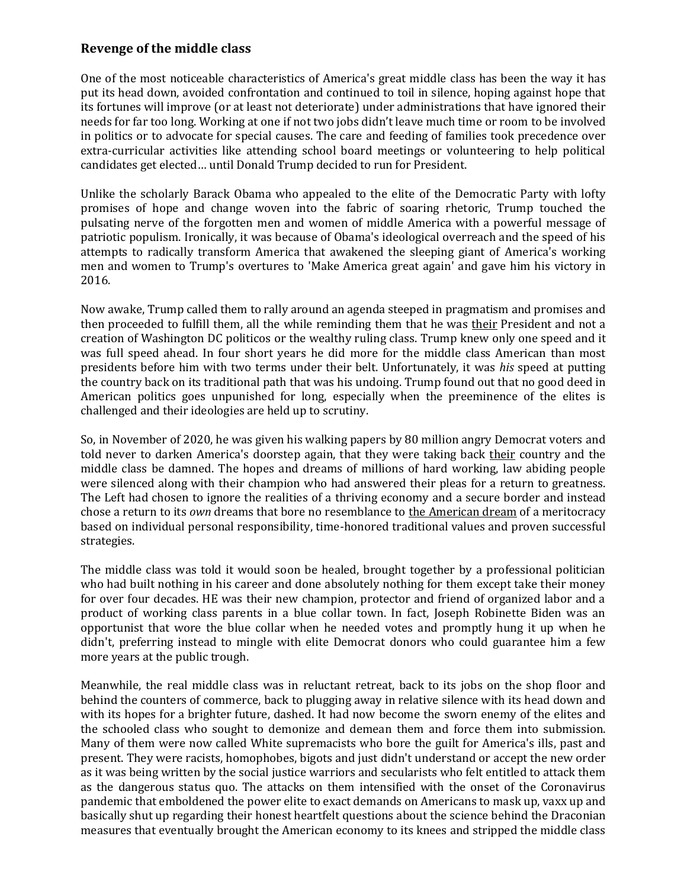## **Revenge of the middle class**

One of the most noticeable characteristics of America's great middle class has been the way it has put its head down, avoided confrontation and continued to toil in silence, hoping against hope that its fortunes will improve (or at least not deteriorate) under administrations that have ignored their needs for far too long. Working at one if not two jobs didn't leave much time or room to be involved in politics or to advocate for special causes. The care and feeding of families took precedence over extra-curricular activities like attending school board meetings or volunteering to help political candidates get elected… until Donald Trump decided to run for President.

Unlike the scholarly Barack Obama who appealed to the elite of the Democratic Party with lofty promises of hope and change woven into the fabric of soaring rhetoric, Trump touched the pulsating nerve of the forgotten men and women of middle America with a powerful message of patriotic populism. Ironically, it was because of Obama's ideological overreach and the speed of his attempts to radically transform America that awakened the sleeping giant of America's working men and women to Trump's overtures to 'Make America great again' and gave him his victory in 2016.

Now awake, Trump called them to rally around an agenda steeped in pragmatism and promises and then proceeded to fulfill them, all the while reminding them that he was their President and not a creation of Washington DC politicos or the wealthy ruling class. Trump knew only one speed and it was full speed ahead. In four short years he did more for the middle class American than most presidents before him with two terms under their belt. Unfortunately, it was *his* speed at putting the country back on its traditional path that was his undoing. Trump found out that no good deed in American politics goes unpunished for long, especially when the preeminence of the elites is challenged and their ideologies are held up to scrutiny.

So, in November of 2020, he was given his walking papers by 80 million angry Democrat voters and told never to darken America's doorstep again, that they were taking back their country and the middle class be damned. The hopes and dreams of millions of hard working, law abiding people were silenced along with their champion who had answered their pleas for a return to greatness. The Left had chosen to ignore the realities of a thriving economy and a secure border and instead chose a return to its *own* dreams that bore no resemblance to the American dream of a meritocracy based on individual personal responsibility, time-honored traditional values and proven successful strategies.

The middle class was told it would soon be healed, brought together by a professional politician who had built nothing in his career and done absolutely nothing for them except take their money for over four decades. HE was their new champion, protector and friend of organized labor and a product of working class parents in a blue collar town. In fact, Joseph Robinette Biden was an opportunist that wore the blue collar when he needed votes and promptly hung it up when he didn't, preferring instead to mingle with elite Democrat donors who could guarantee him a few more years at the public trough.

Meanwhile, the real middle class was in reluctant retreat, back to its jobs on the shop floor and behind the counters of commerce, back to plugging away in relative silence with its head down and with its hopes for a brighter future, dashed. It had now become the sworn enemy of the elites and the schooled class who sought to demonize and demean them and force them into submission. Many of them were now called White supremacists who bore the guilt for America's ills, past and present. They were racists, homophobes, bigots and just didn't understand or accept the new order as it was being written by the social justice warriors and secularists who felt entitled to attack them as the dangerous status quo. The attacks on them intensified with the onset of the Coronavirus pandemic that emboldened the power elite to exact demands on Americans to mask up, vaxx up and basically shut up regarding their honest heartfelt questions about the science behind the Draconian measures that eventually brought the American economy to its knees and stripped the middle class